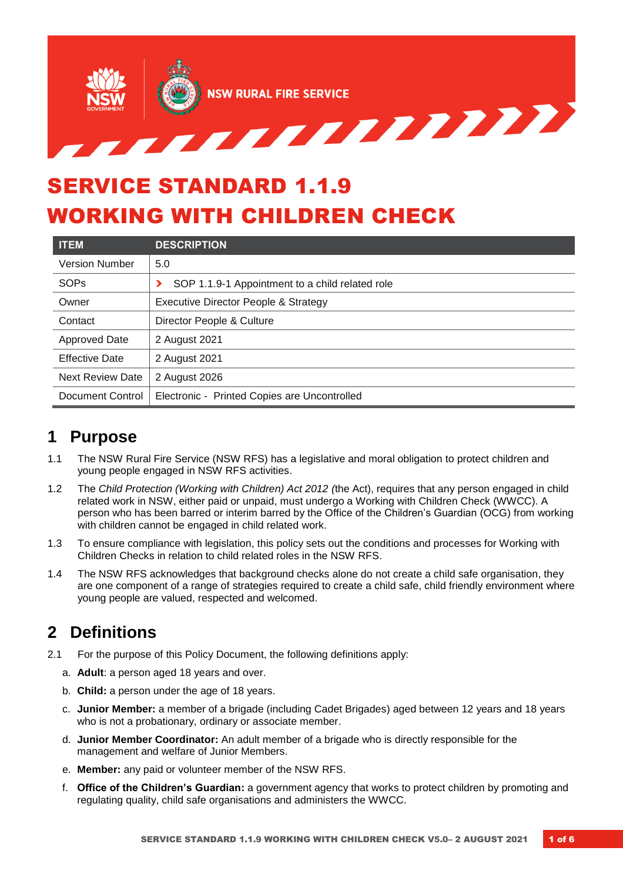

# SERVICE STANDARD 1.1.9 WORKING WITH CHILDREN CHECK

| <b>ITEM</b>             | <b>DESCRIPTION</b>                              |  |
|-------------------------|-------------------------------------------------|--|
| <b>Version Number</b>   | 5.0                                             |  |
| <b>SOPs</b>             | SOP 1.1.9-1 Appointment to a child related role |  |
| Owner                   | Executive Director People & Strategy            |  |
| Contact                 | Director People & Culture                       |  |
| Approved Date           | 2 August 2021                                   |  |
| <b>Effective Date</b>   | 2 August 2021                                   |  |
| <b>Next Review Date</b> | 2 August 2026                                   |  |
| Document Control        | Electronic - Printed Copies are Uncontrolled    |  |

## **1 Purpose**

- 1.1 The NSW Rural Fire Service (NSW RFS) has a legislative and moral obligation to protect children and young people engaged in NSW RFS activities.
- 1.2 The *Child Protection (Working with Children) Act 2012 (*the Act), requires that any person engaged in child related work in NSW, either paid or unpaid, must undergo a Working with Children Check (WWCC). A person who has been barred or interim barred by the Office of the Children's Guardian (OCG) from working with children cannot be engaged in child related work.
- 1.3 To ensure compliance with legislation, this policy sets out the conditions and processes for Working with Children Checks in relation to child related roles in the NSW RFS.
- 1.4 The NSW RFS acknowledges that background checks alone do not create a child safe organisation, they are one component of a range of strategies required to create a child safe, child friendly environment where young people are valued, respected and welcomed.

## **2 Definitions**

- 2.1 For the purpose of this Policy Document, the following definitions apply:
	- a. **Adult**: a person aged 18 years and over.
	- b. **Child:** a person under the age of 18 years.
	- c. **Junior Member:** a member of a brigade (including Cadet Brigades) aged between 12 years and 18 years who is not a probationary, ordinary or associate member.
	- d. **Junior Member Coordinator:** An adult member of a brigade who is directly responsible for the management and welfare of Junior Members.
	- e. **Member:** any paid or volunteer member of the NSW RFS.
	- f. **Office of the Children's Guardian:** a government agency that works to protect children by promoting and regulating quality, child safe organisations and administers the WWCC.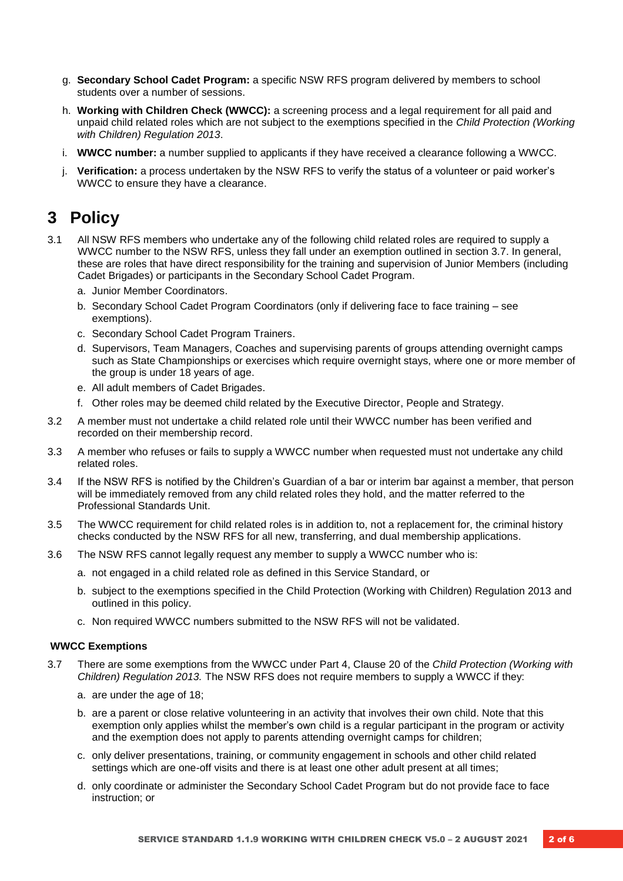- g. **Secondary School Cadet Program:** a specific NSW RFS program delivered by members to school students over a number of sessions.
- h. **Working with Children Check (WWCC):** a screening process and a legal requirement for all paid and unpaid child related roles which are not subject to the exemptions specified in the *Child Protection (Working with Children) Regulation 2013*.
- i. **WWCC number:** a number supplied to applicants if they have received a clearance following a WWCC.
- j. **Verification:** a process undertaken by the NSW RFS to verify the status of a volunteer or paid worker's WWCC to ensure they have a clearance.

## **3 Policy**

- 3.1 All NSW RFS members who undertake any of the following child related roles are required to supply a WWCC number to the NSW RFS, unless they fall under an exemption outlined in section 3.7. In general, these are roles that have direct responsibility for the training and supervision of Junior Members (including Cadet Brigades) or participants in the Secondary School Cadet Program.
	- a. Junior Member Coordinators.
	- b. Secondary School Cadet Program Coordinators (only if delivering face to face training see exemptions).
	- c. Secondary School Cadet Program Trainers.
	- d. Supervisors, Team Managers, Coaches and supervising parents of groups attending overnight camps such as State Championships or exercises which require overnight stays, where one or more member of the group is under 18 years of age.
	- e. All adult members of Cadet Brigades.
	- f. Other roles may be deemed child related by the Executive Director, People and Strategy.
- 3.2 A member must not undertake a child related role until their WWCC number has been verified and recorded on their membership record.
- 3.3 A member who refuses or fails to supply a WWCC number when requested must not undertake any child related roles.
- 3.4 If the NSW RFS is notified by the Children's Guardian of a bar or interim bar against a member, that person will be immediately removed from any child related roles they hold, and the matter referred to the Professional Standards Unit.
- 3.5 The WWCC requirement for child related roles is in addition to, not a replacement for, the criminal history checks conducted by the NSW RFS for all new, transferring, and dual membership applications.
- 3.6 The NSW RFS cannot legally request any member to supply a WWCC number who is:
	- a. not engaged in a child related role as defined in this Service Standard, or
	- b. subject to the exemptions specified in the Child Protection (Working with Children) Regulation 2013 and outlined in this policy.
	- c. Non required WWCC numbers submitted to the NSW RFS will not be validated.

### **WWCC Exemptions**

- 3.7 There are some exemptions from the WWCC under Part 4, Clause 20 of the *Child Protection (Working with Children) Regulation 2013.* The NSW RFS does not require members to supply a WWCC if they:
	- a. are under the age of 18;
	- b. are a parent or close relative volunteering in an activity that involves their own child. Note that this exemption only applies whilst the member's own child is a regular participant in the program or activity and the exemption does not apply to parents attending overnight camps for children;
	- c. only deliver presentations, training, or community engagement in schools and other child related settings which are one-off visits and there is at least one other adult present at all times;
	- d. only coordinate or administer the Secondary School Cadet Program but do not provide face to face instruction; or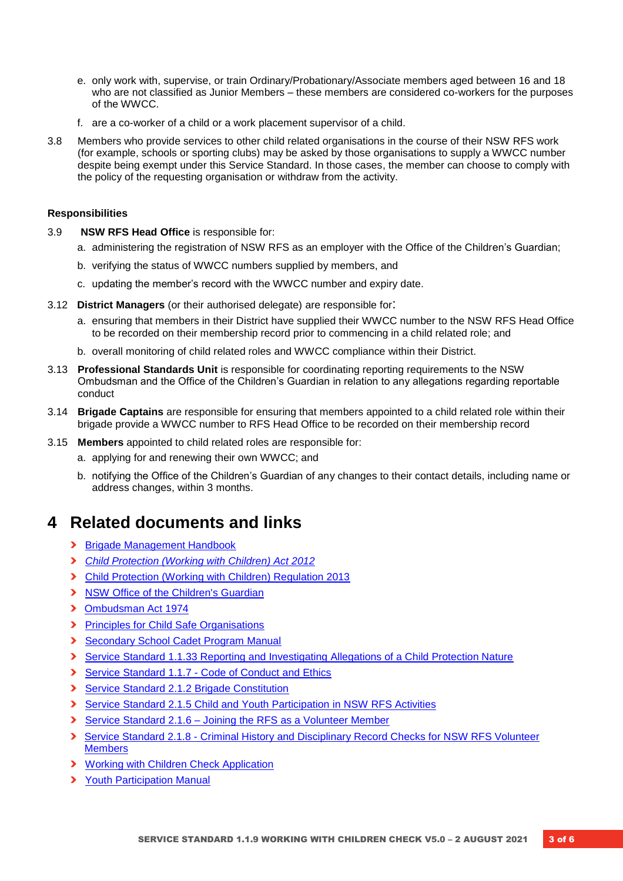- e. only work with, supervise, or train Ordinary/Probationary/Associate members aged between 16 and 18 who are not classified as Junior Members – these members are considered co-workers for the purposes of the WWCC.
- f. are a co-worker of a child or a work placement supervisor of a child.
- 3.8 Members who provide services to other child related organisations in the course of their NSW RFS work (for example, schools or sporting clubs) may be asked by those organisations to supply a WWCC number despite being exempt under this Service Standard. In those cases, the member can choose to comply with the policy of the requesting organisation or withdraw from the activity.

#### **Responsibilities**

- 3.9 **NSW RFS Head Office** is responsible for:
	- a. administering the registration of NSW RFS as an employer with the Office of the Children's Guardian;
	- b. verifying the status of WWCC numbers supplied by members, and
	- c. updating the member's record with the WWCC number and expiry date.
- 3.12 **District Managers** (or their authorised delegate) are responsible for:
	- a. ensuring that members in their District have supplied their WWCC number to the NSW RFS Head Office to be recorded on their membership record prior to commencing in a child related role; and
	- b. overall monitoring of child related roles and WWCC compliance within their District.
- 3.13 **Professional Standards Unit** is responsible for coordinating reporting requirements to the NSW Ombudsman and the Office of the Children's Guardian in relation to any allegations regarding reportable conduct
- 3.14 **Brigade Captains** are responsible for ensuring that members appointed to a child related role within their brigade provide a WWCC number to RFS Head Office to be recorded on their membership record
- 3.15 **Members** appointed to child related roles are responsible for:
	- a. applying for and renewing their own WWCC; and
	- b. notifying the Office of the Children's Guardian of any changes to their contact details, including name or address changes, within 3 months.

### **4 Related documents and links**

- **›** [Brigade Management Handbook](https://www.myrfs.nsw.gov.au/DesktopModules/Bring2mind/DMX/Download.aspx?EntryId=27586&PortalId=0&DownloadMethod=attachment)
- **›** *[Child Protection \(Working with Children\) Act 2012](https://www.legislation.nsw.gov.au/acts/2012-51.pdf)*
- **›** [Child Protection \(Working with Children\) Regulation 2013](https://www.legislation.nsw.gov.au/inforce/8dfc7213-b8a8-eb5e-cd03-bc106883e742/2013-156.pdf)
- **›** [NSW Office of the Children's Guardian](http://www.kidsguardian.nsw.gov.au/)
- **›** [Ombudsman Act 1974](https://www.legislation.nsw.gov.au/#/view/act/1974/68)
- **›** [Principles for Child Safe Organisations](https://www.kidsguardian.nsw.gov.au/ArticleDocuments/838/ChildSafePrinciples_web.pdf.aspx?Embed=Yx)
- **›** [Secondary School Cadet Program Manual](https://www.myrfs.nsw.gov.au/infoabout/membership/youthparticipationinthenswrfs/secondaryschoolcadetprogram.aspx)
- **›** Service Standard 1.1.33 Reporting and Investigating Allegations of a Child Protection Nature
- **›** [Service Standard 1.1.7 -](https://www.myrfs.nsw.gov.au/DesktopModules/Bring2mind/DMX/Download.aspx?EntryId=23233&PortalId=0&DownloadMethod=attachment) Code of Conduct and Ethics
- **›** [Service Standard 2.1.2 Brigade Constitution](https://www.myrfs.nsw.gov.au/DesktopModules/Bring2mind/DMX/Download.aspx?EntryId=15498&PortalId=0&DownloadMethod=attachment)
- **›** [Service Standard 2.1.5 Child and Youth Participation](https://www.myrfs.nsw.gov.au/DesktopModules/Bring2mind/DMX/Download.aspx?EntryId=15502&PortalId=0&DownloadMethod=attachment) in NSW RFS Activities
- **›** Service Standard 2.1.6 [Joining the RFS as a Volunteer Member](https://www.myrfs.nsw.gov.au/DesktopModules/Bring2mind/DMX/Download.aspx?EntryId=15503&PortalId=0&DownloadMethod=attachment)
- **›** Service Standard 2.1.8 [Criminal History and Disciplinary Record Checks for NSW RFS Volunteer](https://www.myrfs.nsw.gov.au/DesktopModules/Bring2mind/DMX/Download.aspx?EntryId=16121&PortalId=0&DownloadMethod=attachment)  **[Members](https://www.myrfs.nsw.gov.au/DesktopModules/Bring2mind/DMX/Download.aspx?EntryId=16121&PortalId=0&DownloadMethod=attachment)**
- **›** [Working with Children Check Application](https://www.service.nsw.gov.au/transaction/apply-working-children-check)
- **›** [Youth Participation Manual](https://www.myrfs.nsw.gov.au/InfoAbout/Membership/YouthParticipationintheNSWRFS/YouthParticipationManual.aspx)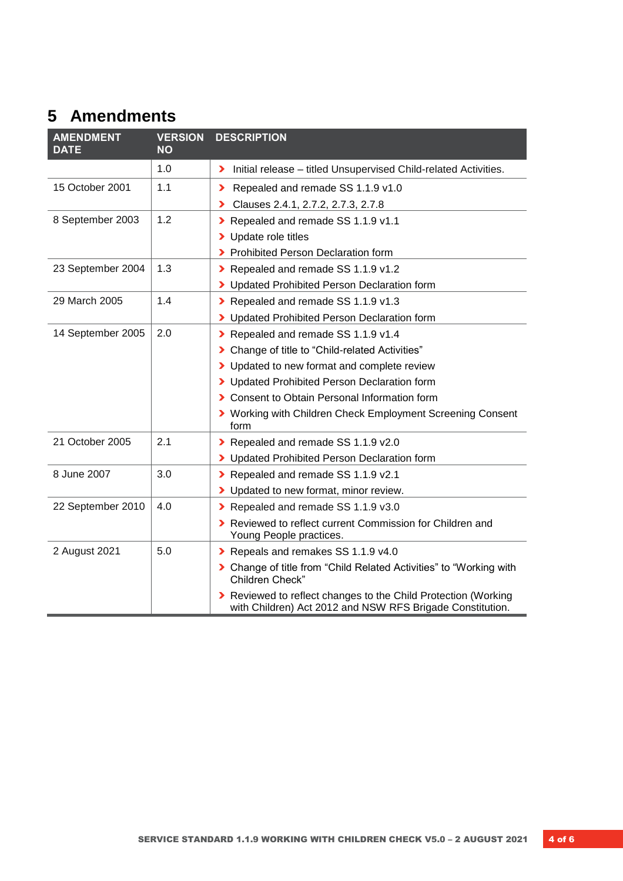## **5 Amendments**

| <b>AMENDMENT</b><br><b>DATE</b> | <b>VERSION</b><br><b>NO</b> | <b>DESCRIPTION</b>                                                                                                        |
|---------------------------------|-----------------------------|---------------------------------------------------------------------------------------------------------------------------|
|                                 | 1.0                         | > Initial release – titled Unsupervised Child-related Activities.                                                         |
| 15 October 2001                 | 1.1                         | Repealed and remade SS 1.1.9 v1.0<br>⋗                                                                                    |
|                                 |                             | Clauses 2.4.1, 2.7.2, 2.7.3, 2.7.8<br>⋗                                                                                   |
| 8 September 2003                | 1.2                         | Repealed and remade SS 1.1.9 v1.1                                                                                         |
|                                 |                             | Update role titles<br>⋗                                                                                                   |
|                                 |                             | Prohibited Person Declaration form<br>⋗                                                                                   |
| 23 September 2004               | 1.3                         | Repealed and remade SS 1.1.9 v1.2                                                                                         |
|                                 |                             | > Updated Prohibited Person Declaration form                                                                              |
| 29 March 2005                   | 1.4                         | Repealed and remade SS 1.1.9 v1.3                                                                                         |
|                                 |                             | > Updated Prohibited Person Declaration form                                                                              |
| 14 September 2005               | 2.0                         | Repealed and remade SS 1.1.9 v1.4                                                                                         |
|                                 |                             | Change of title to "Child-related Activities"<br>⋗                                                                        |
|                                 |                             | > Updated to new format and complete review                                                                               |
|                                 |                             | > Updated Prohibited Person Declaration form                                                                              |
|                                 |                             | > Consent to Obtain Personal Information form                                                                             |
|                                 |                             | > Working with Children Check Employment Screening Consent<br>form                                                        |
| 21 October 2005                 | 2.1                         | Repealed and remade SS 1.1.9 v2.0                                                                                         |
|                                 |                             | > Updated Prohibited Person Declaration form                                                                              |
| 8 June 2007                     | 3.0                         | Repealed and remade SS 1.1.9 v2.1                                                                                         |
|                                 |                             | > Updated to new format, minor review.                                                                                    |
| 22 September 2010               | 4.0                         | Repealed and remade SS 1.1.9 v3.0                                                                                         |
|                                 |                             | > Reviewed to reflect current Commission for Children and<br>Young People practices.                                      |
| 2 August 2021                   | 5.0                         | Repeals and remakes SS 1.1.9 v4.0                                                                                         |
|                                 |                             | > Change of title from "Child Related Activities" to "Working with<br>Children Check"                                     |
|                                 |                             | Reviewed to reflect changes to the Child Protection (Working<br>with Children) Act 2012 and NSW RFS Brigade Constitution. |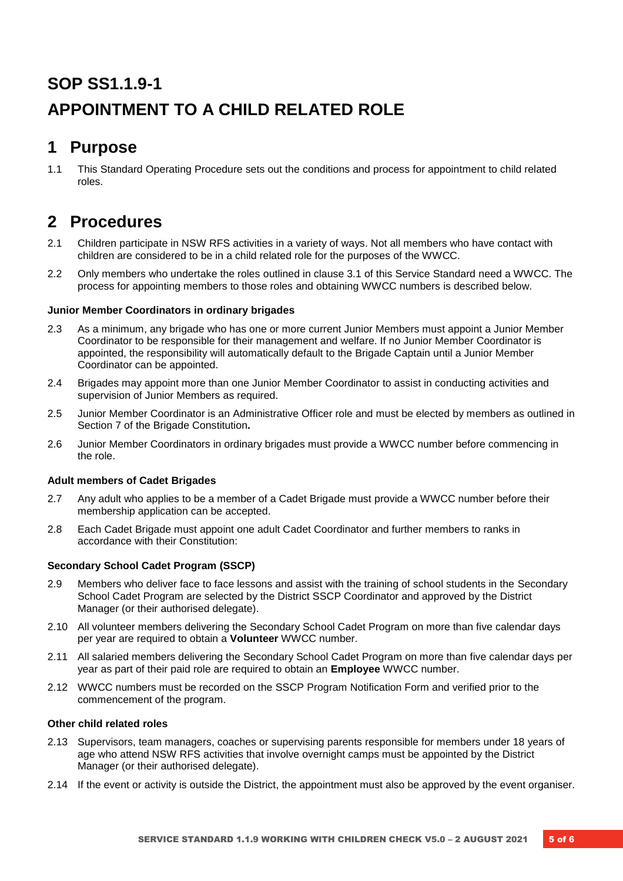## **SOP SS1.1.9-1 APPOINTMENT TO A CHILD RELATED ROLE**

## **1 Purpose**

1.1 This Standard Operating Procedure sets out the conditions and process for appointment to child related roles.

## **2 Procedures**

- 2.1 Children participate in NSW RFS activities in a variety of ways. Not all members who have contact with children are considered to be in a child related role for the purposes of the WWCC.
- 2.2 Only members who undertake the roles outlined in clause 3.1 of this Service Standard need a WWCC. The process for appointing members to those roles and obtaining WWCC numbers is described below.

### **Junior Member Coordinators in ordinary brigades**

- 2.3 As a minimum, any brigade who has one or more current Junior Members must appoint a Junior Member Coordinator to be responsible for their management and welfare. If no Junior Member Coordinator is appointed, the responsibility will automatically default to the Brigade Captain until a Junior Member Coordinator can be appointed.
- 2.4 Brigades may appoint more than one Junior Member Coordinator to assist in conducting activities and supervision of Junior Members as required.
- 2.5 Junior Member Coordinator is an Administrative Officer role and must be elected by members as outlined in Section 7 of the Brigade Constitution**.**
- 2.6 Junior Member Coordinators in ordinary brigades must provide a WWCC number before commencing in the role.

### **Adult members of Cadet Brigades**

- 2.7 Any adult who applies to be a member of a Cadet Brigade must provide a WWCC number before their membership application can be accepted.
- 2.8 Each Cadet Brigade must appoint one adult Cadet Coordinator and further members to ranks in accordance with their Constitution:

### **Secondary School Cadet Program (SSCP)**

- 2.9 Members who deliver face to face lessons and assist with the training of school students in the Secondary School Cadet Program are selected by the District SSCP Coordinator and approved by the District Manager (or their authorised delegate).
- 2.10 All volunteer members delivering the Secondary School Cadet Program on more than five calendar days per year are required to obtain a **Volunteer** WWCC number.
- 2.11 All salaried members delivering the Secondary School Cadet Program on more than five calendar days per year as part of their paid role are required to obtain an **Employee** WWCC number.
- 2.12 WWCC numbers must be recorded on the SSCP Program Notification Form and verified prior to the commencement of the program.

### **Other child related roles**

- 2.13 Supervisors, team managers, coaches or supervising parents responsible for members under 18 years of age who attend NSW RFS activities that involve overnight camps must be appointed by the District Manager (or their authorised delegate).
- 2.14 If the event or activity is outside the District, the appointment must also be approved by the event organiser.